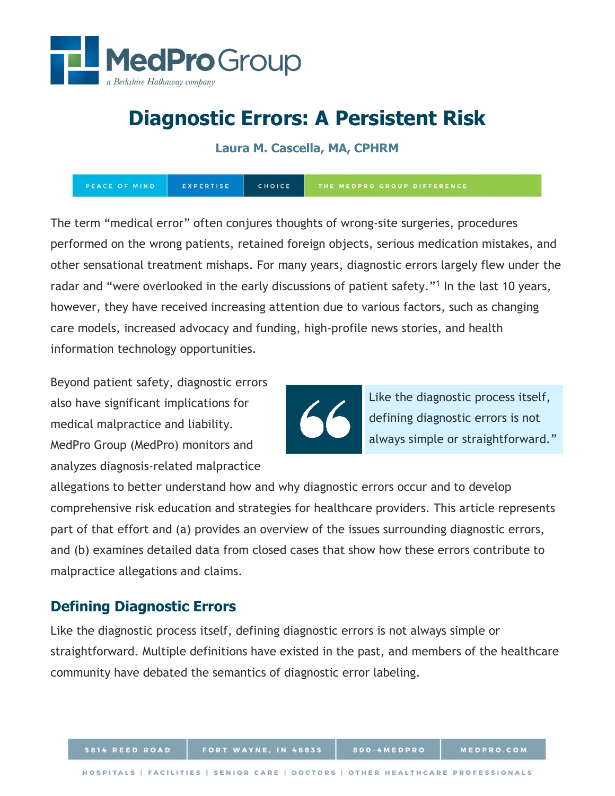

**Laura M. Cascella, MA, CPHRM**

PEACE OF MIND EXPERTISE CHOICE THE MEDPRO GROUP DIFFERENCE

The term "medical error" often conjures thoughts of wrong-site surgeries, procedures performed on the wrong patients, retained foreign objects, serious medication mistakes, and other sensational treatment mishaps. For many years, diagnostic errors largely flew under the radar and "were overlooked in the early discussions of patient safety."<sup>[1](#page-9-0)</sup> In the last 10 years, however, they have received increasing attention due to various factors, such as changing care models, increased advocacy and funding, high-profile news stories, and health information technology opportunities.

Beyond patient safety, diagnostic errors also have significant implications for medical malpractice and liability. MedPro Group (MedPro) monitors and analyzes diagnosis-related malpractice



Like the diagnostic process itself, defining diagnostic errors is not always simple or straightforward."

allegations to better understand how and why diagnostic errors occur and to develop comprehensive risk education and strategies for healthcare providers. This article represents part of that effort and (a) provides an overview of the issues surrounding diagnostic errors, and (b) examines detailed data from closed cases that show how these errors contribute to malpractice allegations and claims.

# **Defining Diagnostic Errors**

Like the diagnostic process itself, defining diagnostic errors is not always simple or straightforward. Multiple definitions have existed in the past, and members of the healthcare community have debated the semantics of diagnostic error labeling.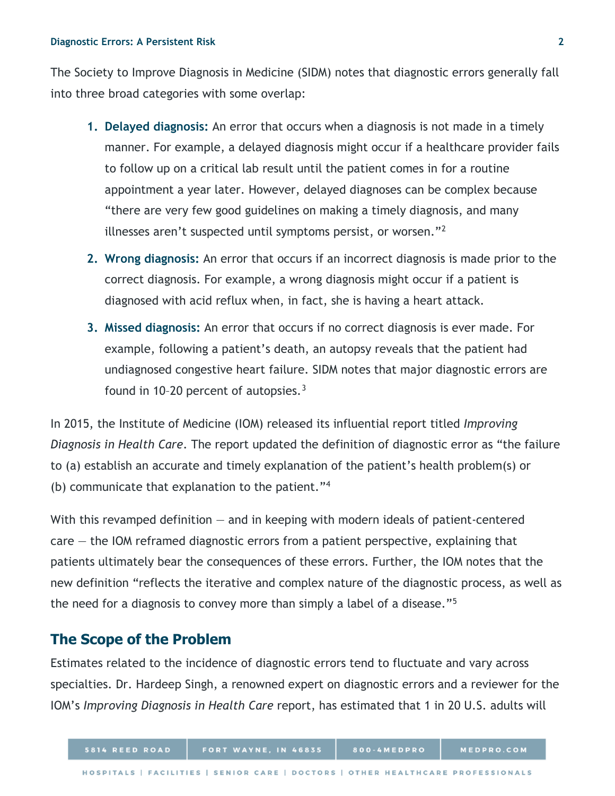The Society to Improve Diagnosis in Medicine (SIDM) notes that diagnostic errors generally fall into three broad categories with some overlap:

- **1. Delayed diagnosis:** An error that occurs when a diagnosis is not made in a timely manner. For example, a delayed diagnosis might occur if a healthcare provider fails to follow up on a critical lab result until the patient comes in for a routine appointment a year later. However, delayed diagnoses can be complex because "there are very few good guidelines on making a timely diagnosis, and many illnesses aren't suspected until symptoms persist, or worsen."[2](#page-9-1)
- **2. Wrong diagnosis:** An error that occurs if an incorrect diagnosis is made prior to the correct diagnosis. For example, a wrong diagnosis might occur if a patient is diagnosed with acid reflux when, in fact, she is having a heart attack.
- **3. Missed diagnosis:** An error that occurs if no correct diagnosis is ever made. For example, following a patient's death, an autopsy reveals that the patient had undiagnosed congestive heart failure. SIDM notes that major diagnostic errors are found in 10-20 percent of autopsies. $3$

In 2015, the Institute of Medicine (IOM) released its influential report titled *Improving Diagnosis in Health Care*. The report updated the definition of diagnostic error as "the failure to (a) establish an accurate and timely explanation of the patient's health problem(s) or (b) communicate that explanation to the patient."[4](#page-9-3)

With this revamped definition — and in keeping with modern ideals of patient-centered  $care - the IOM$  reframed diagnostic errors from a patient perspective, explaining that patients ultimately bear the consequences of these errors. Further, the IOM notes that the new definition "reflects the iterative and complex nature of the diagnostic process, as well as the need for a diagnosis to convey more than simply a label of a disease."[5](#page-9-4)

# **The Scope of the Problem**

Estimates related to the incidence of diagnostic errors tend to fluctuate and vary across specialties. Dr. Hardeep Singh, a renowned expert on diagnostic errors and a reviewer for the IOM's *Improving Diagnosis in Health Care* report, has estimated that 1 in 20 U.S. adults will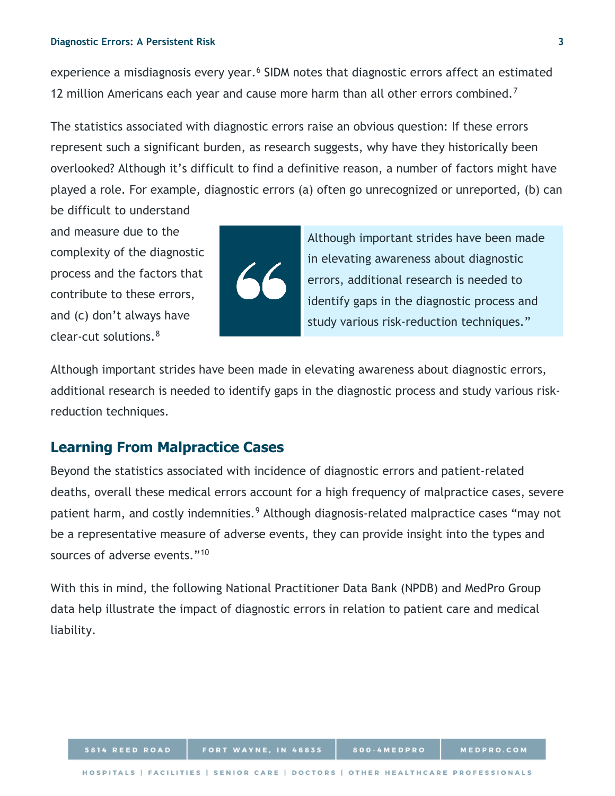experience a misdiagnosis every year.<sup>[6](#page-9-5)</sup> SIDM notes that diagnostic errors affect an estimated 12 million Americans each year and cause more harm than all other errors combined.<sup>[7](#page-9-6)</sup>

The statistics associated with diagnostic errors raise an obvious question: If these errors represent such a significant burden, as research suggests, why have they historically been overlooked? Although it's difficult to find a definitive reason, a number of factors might have played a role. For example, diagnostic errors (a) often go unrecognized or unreported, (b) can be difficult to understand

and measure due to the complexity of the diagnostic process and the factors that contribute to these errors, and (c) don't always have clear-cut solutions.[8](#page-9-7)



Although important strides have been made in elevating awareness about diagnostic errors, additional research is needed to identify gaps in the diagnostic process and study various risk-reduction techniques."

Although important strides have been made in elevating awareness about diagnostic errors, additional research is needed to identify gaps in the diagnostic process and study various riskreduction techniques.

# **Learning From Malpractice Cases**

Beyond the statistics associated with incidence of diagnostic errors and patient-related deaths, overall these medical errors account for a high frequency of malpractice cases, severe patient harm, and costly indemnities.<sup>9</sup> Although diagnosis-related malpractice cases "may not be a representative measure of adverse events, they can provide insight into the types and sources of adverse events."<sup>[10](#page-9-9)</sup>

With this in mind, the following National Practitioner Data Bank (NPDB) and MedPro Group data help illustrate the impact of diagnostic errors in relation to patient care and medical liability.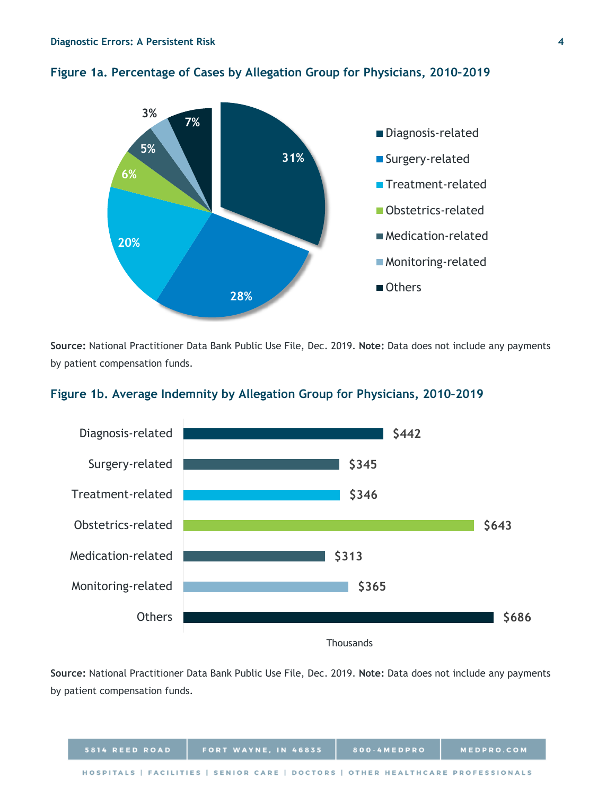

## **Figure 1a. Percentage of Cases by Allegation Group for Physicians, 2010–2019**

**Source:** National Practitioner Data Bank Public Use File, Dec. 2019. **Note:** Data does not include any payments by patient compensation funds.



## **Figure 1b. Average Indemnity by Allegation Group for Physicians, 2010–2019**

**Thousands** 

**Source:** National Practitioner Data Bank Public Use File, Dec. 2019. **Note:** Data does not include any payments by patient compensation funds.

| 5814 REED ROAD | <b>FORT WAYNE, IN 46835</b>                                                     | 800-4MEDPRO | MEDPRO.COM |
|----------------|---------------------------------------------------------------------------------|-------------|------------|
|                | HOSPITALS   FACILITIES   SENIOR CARE   DOCTORS   OTHER HEALTHCARE PROFESSIONALS |             |            |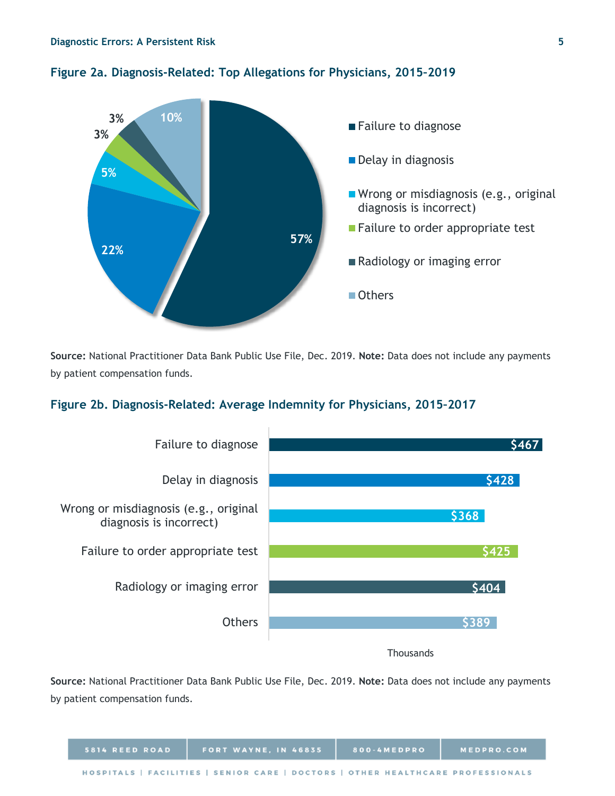



**Source:** National Practitioner Data Bank Public Use File, Dec. 2019. **Note:** Data does not include any payments by patient compensation funds.

## **Figure 2b. Diagnosis-Related: Average Indemnity for Physicians, 2015–2017**



**Source:** National Practitioner Data Bank Public Use File, Dec. 2019. **Note:** Data does not include any payments by patient compensation funds.

| 5814 REED ROAD                                                                  | FORT WAYNE, IN 46835 | 800-4MEDPRO | <b>MEDPRO.COM</b> |  |
|---------------------------------------------------------------------------------|----------------------|-------------|-------------------|--|
| HOSPITALS   FACILITIES   SENIOR CARE   DOCTORS   OTHER HEALTHCARE PROFESSIONALS |                      |             |                   |  |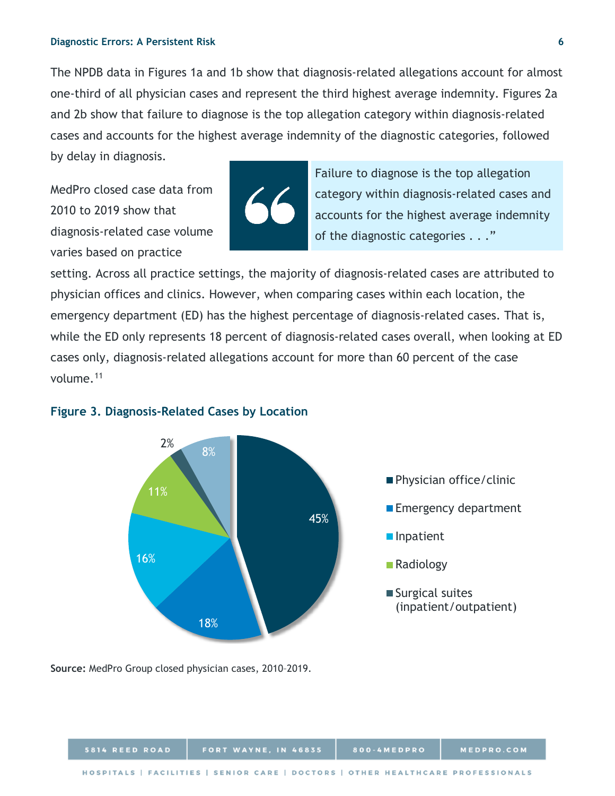The NPDB data in Figures 1a and 1b show that diagnosis-related allegations account for almost one-third of all physician cases and represent the third highest average indemnity. Figures 2a and 2b show that failure to diagnose is the top allegation category within diagnosis-related cases and accounts for the highest average indemnity of the diagnostic categories, followed by delay in diagnosis.

MedPro closed case data from 2010 to 2019 show that diagnosis-related case volume varies based on practice



Failure to diagnose is the top allegation category within diagnosis-related cases and accounts for the highest average indemnity of the diagnostic categories . . ."

setting. Across all practice settings, the majority of diagnosis-related cases are attributed to physician offices and clinics. However, when comparing cases within each location, the emergency department (ED) has the highest percentage of diagnosis-related cases. That is, while the ED only represents 18 percent of diagnosis-related cases overall, when looking at ED cases only, diagnosis-related allegations account for more than 60 percent of the case volume.[11](#page-9-10)



### **Figure 3. Diagnosis-Related Cases by Location**

**Source:** MedPro Group closed physician cases, 2010–2019.

| 5814 REED ROAD | <b>FORT WAYNE, IN 46835</b>                                                     | 800-4MEDPRO | <b>MEDPRO.COM</b> |
|----------------|---------------------------------------------------------------------------------|-------------|-------------------|
|                | HOSPITALS   FACILITIES   SENIOR CARE   DOCTORS   OTHER HEALTHCARE PROFESSIONALS |             |                   |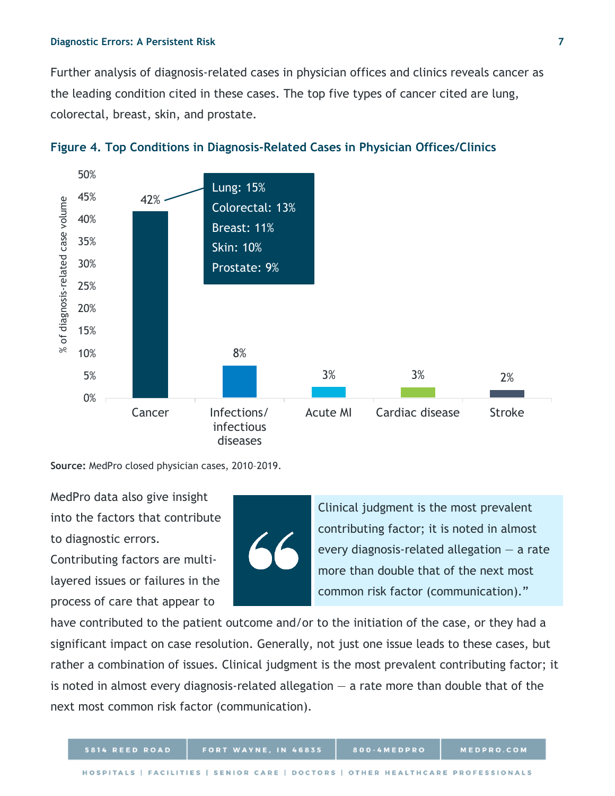Further analysis of diagnosis-related cases in physician offices and clinics reveals cancer as the leading condition cited in these cases. The top five types of cancer cited are lung, colorectal, breast, skin, and prostate.





**Source:** MedPro closed physician cases, 2010–2019.

MedPro data also give insight into the factors that contribute to diagnostic errors.

Contributing factors are multilayered issues or failures in the process of care that appear to



Clinical judgment is the most prevalent contributing factor; it is noted in almost every diagnosis-related allegation  $-$  a rate more than double that of the next most common risk factor (communication)."

have contributed to the patient outcome and/or to the initiation of the case, or they had a significant impact on case resolution. Generally, not just one issue leads to these cases, but rather a combination of issues. Clinical judgment is the most prevalent contributing factor; it is noted in almost every diagnosis-related allegation  $-$  a rate more than double that of the next most common risk factor (communication).

800-4MEDPRO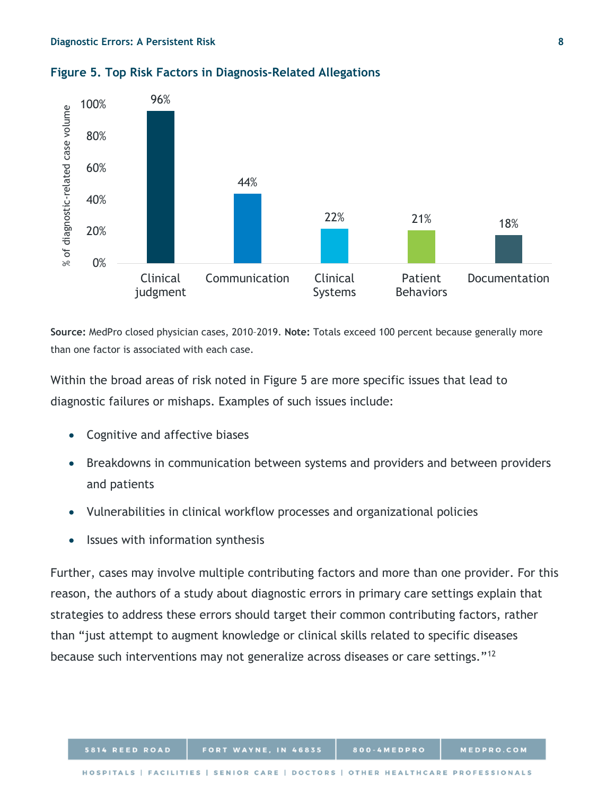

## **Figure 5. Top Risk Factors in Diagnosis-Related Allegations**

**Source:** MedPro closed physician cases, 2010–2019. **Note:** Totals exceed 100 percent because generally more than one factor is associated with each case.

Within the broad areas of risk noted in Figure 5 are more specific issues that lead to diagnostic failures or mishaps. Examples of such issues include:

- Cognitive and affective biases
- Breakdowns in communication between systems and providers and between providers and patients
- Vulnerabilities in clinical workflow processes and organizational policies
- Issues with information synthesis

Further, cases may involve multiple contributing factors and more than one provider. For this reason, the authors of a study about diagnostic errors in primary care settings explain that strategies to address these errors should target their common contributing factors, rather than "just attempt to augment knowledge or clinical skills related to specific diseases because such interventions may not generalize across diseases or care settings."[12](#page-9-11)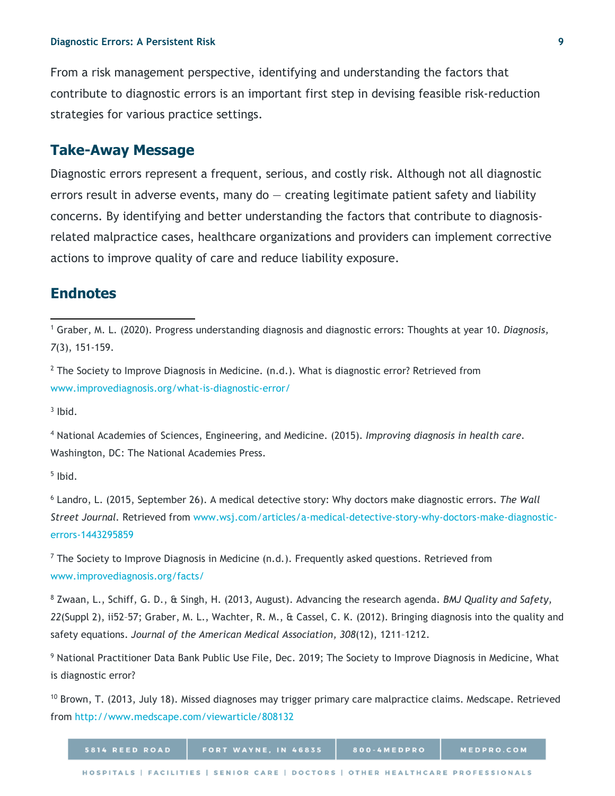From a risk management perspective, identifying and understanding the factors that contribute to diagnostic errors is an important first step in devising feasible risk-reduction strategies for various practice settings.

# **Take-Away Message**

Diagnostic errors represent a frequent, serious, and costly risk. Although not all diagnostic errors result in adverse events, many do  $-$  creating legitimate patient safety and liability concerns. By identifying and better understanding the factors that contribute to diagnosisrelated malpractice cases, healthcare organizations and providers can implement corrective actions to improve quality of care and reduce liability exposure.

## **Endnotes**

<sup>1</sup> Graber, M. L. (2020). Progress understanding diagnosis and diagnostic errors: Thoughts at year 10. *Diagnosis, 7*(3), 151-159.

 $2$  The Society to Improve Diagnosis in Medicine. (n.d.). What is diagnostic error? Retrieved from [www.improvediagnosis.org/what-is-diagnostic-error/](http://www.improvediagnosis.org/what-is-diagnostic-error/)

 $3$  Ibid.

 $\overline{a}$ 

<sup>4</sup> National Academies of Sciences, Engineering, and Medicine. (2015). *Improving diagnosis in health care.*  Washington, DC: The National Academies Press.

 $<sup>5</sup>$  Ibid.</sup>

<sup>6</sup> Landro, L. (2015, September 26). A medical detective story: Why doctors make diagnostic errors. *The Wall Street Journal.* Retrieved from [www.wsj.com/articles/a-medical-detective-story-why-doctors-make-diagnostic](http://www.wsj.com/articles/a-medical-detective-story-why-doctors-make-diagnostic-errors-1443295859)[errors-1443295859](http://www.wsj.com/articles/a-medical-detective-story-why-doctors-make-diagnostic-errors-1443295859)

 $7$  The Society to Improve Diagnosis in Medicine (n.d.). Frequently asked questions. Retrieved from [www.improvediagnosis.org/facts/](http://www.improvediagnosis.org/facts/)

<sup>8</sup> Zwaan, L., Schiff, G. D., & Singh, H. (2013, August). Advancing the research agenda. *BMJ Quality and Safety, 22*(Suppl 2), ii52–57; Graber, M. L., Wachter, R. M., & Cassel, C. K. (2012). Bringing diagnosis into the quality and safety equations. *Journal of the American Medical Association, 308*(12), 1211–1212.

<sup>9</sup> National Practitioner Data Bank Public Use File, Dec. 2019; The Society to Improve Diagnosis in Medicine, What is diagnostic error?

 $10$  Brown, T. (2013, July 18). Missed diagnoses may trigger primary care malpractice claims. Medscape. Retrieved from<http://www.medscape.com/viewarticle/808132>

| 5814 REED ROAD | <b>FORT WAYNE, IN 46835</b>                                                     | 800-4MEDPRO | MEDPRO.COM |
|----------------|---------------------------------------------------------------------------------|-------------|------------|
|                | HOSPITALS   FACILITIES   SENIOR CARE   DOCTORS   OTHER HEALTHCARE PROFESSIONALS |             |            |